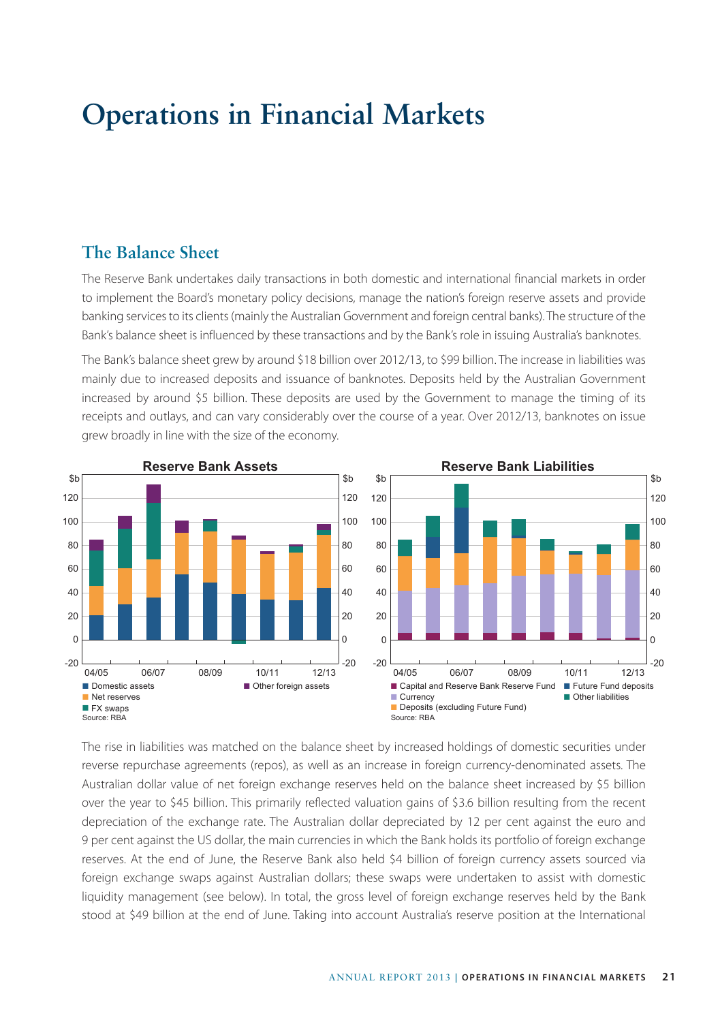# **Operations in Financial Markets**

### **The Balance Sheet**

The Reserve Bank undertakes daily transactions in both domestic and international financial markets in order to implement the Board's monetary policy decisions, manage the nation's foreign reserve assets and provide banking services to its clients (mainly the Australian Government and foreign central banks). The structure of the Bank's balance sheet is influenced by these transactions and by the Bank's role in issuing Australia's banknotes.

The Bank's balance sheet grew by around \$18 billion over 2012/13, to \$99 billion. The increase in liabilities was mainly due to increased deposits and issuance of banknotes. Deposits held by the Australian Government increased by around \$5 billion. These deposits are used by the Government to manage the timing of its receipts and outlays, and can vary considerably over the course of a year. Over 2012/13, banknotes on issue grew broadly in line with the size of the economy.



The rise in liabilities was matched on the balance sheet by increased holdings of domestic securities under reverse repurchase agreements (repos), as well as an increase in foreign currency-denominated assets. The Australian dollar value of net foreign exchange reserves held on the balance sheet increased by \$5 billion over the year to \$45 billion. This primarily reflected valuation gains of \$3.6 billion resulting from the recent depreciation of the exchange rate. The Australian dollar depreciated by 12 per cent against the euro and 9 per cent against the US dollar, the main currencies in which the Bank holds its portfolio of foreign exchange reserves. At the end of June, the Reserve Bank also held \$4 billion of foreign currency assets sourced via foreign exchange swaps against Australian dollars; these swaps were undertaken to assist with domestic liquidity management (see below). In total, the gross level of foreign exchange reserves held by the Bank stood at \$49 billion at the end of June. Taking into account Australia's reserve position at the International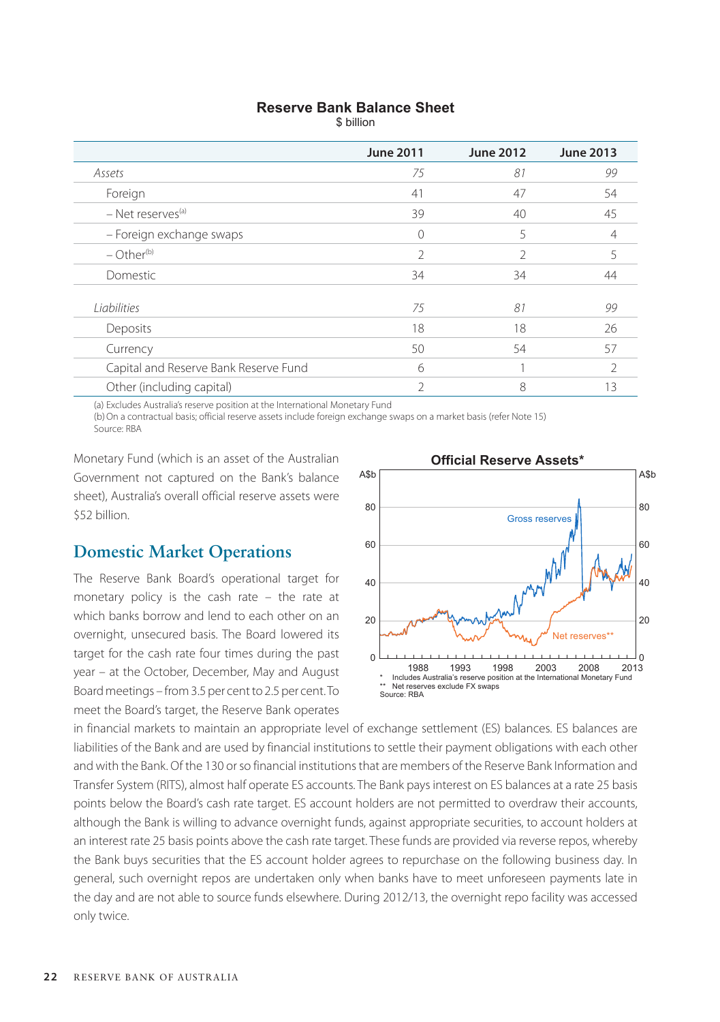#### **Reserve Bank Balance Sheet**

\$ billion

|                                       | <b>June 2011</b> | <b>June 2012</b> | <b>June 2013</b> |
|---------------------------------------|------------------|------------------|------------------|
| Assets                                | 75               | 81               | 99               |
| Foreign                               | 41               | 47               | 54               |
| - Net reserves <sup>(a)</sup>         | 39               | 40               | 45               |
| - Foreign exchange swaps              | Ω                | 5                | 4                |
| $-$ Other <sup>(b)</sup>              | C.               | $\mathfrak{D}$   |                  |
| Domestic                              | 34               | 34               | 44               |
| Liabilities                           | 75               | 81               | 99               |
| Deposits                              | 18               | 18               | 26               |
| Currency                              | 50               | 54               | 57               |
| Capital and Reserve Bank Reserve Fund | 6                |                  |                  |
| Other (including capital)             | C                | 8                | 13               |

(a) Excludes Australia's reserve position at the International Monetary Fund

(b)On a contractual basis; official reserve assets include foreign exchange swaps on a market basis (refer Note 15) Source: RBA

Monetary Fund (which is an asset of the Australian Government not captured on the Bank's balance sheet), Australia's overall official reserve assets were \$52 billion.

## **Domestic Market Operations**

The Reserve Bank Board's operational target for monetary policy is the cash rate – the rate at which banks borrow and lend to each other on an overnight, unsecured basis. The Board lowered its target for the cash rate four times during the past year – at the October, December, May and August Board meetings – from 3.5 per cent to 2.5 per cent. To meet the Board's target, the Reserve Bank operates



in financial markets to maintain an appropriate level of exchange settlement (ES) balances. ES balances are liabilities of the Bank and are used by financial institutions to settle their payment obligations with each other and with the Bank. Of the 130 or so financial institutions that are members of the Reserve Bank Information and Transfer System (RITS), almost half operate ES accounts. The Bank pays interest on ES balances at a rate 25 basis points below the Board's cash rate target. ES account holders are not permitted to overdraw their accounts, although the Bank is willing to advance overnight funds, against appropriate securities, to account holders at an interest rate 25 basis points above the cash rate target. These funds are provided via reverse repos, whereby the Bank buys securities that the ES account holder agrees to repurchase on the following business day. In general, such overnight repos are undertaken only when banks have to meet unforeseen payments late in the day and are not able to source funds elsewhere. During 2012/13, the overnight repo facility was accessed only twice.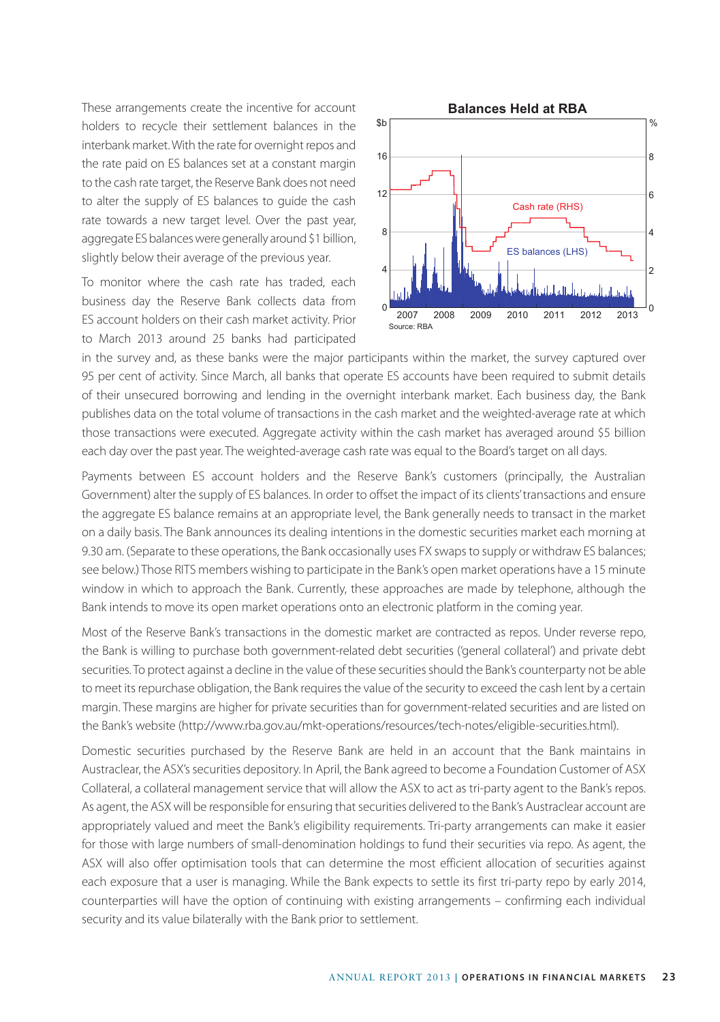These arrangements create the incentive for account holders to recycle their settlement balances in the interbank market. With the rate for overnight repos and the rate paid on ES balances set at a constant margin to the cash rate target, the Reserve Bank does not need to alter the supply of ES balances to guide the cash rate towards a new target level. Over the past year, aggregate ES balances were generally around \$1 billion, slightly below their average of the previous year.

To monitor where the cash rate has traded, each business day the Reserve Bank collects data from ES account holders on their cash market activity. Prior to March 2013 around 25 banks had participated



in the survey and, as these banks were the major participants within the market, the survey captured over 95 per cent of activity. Since March, all banks that operate ES accounts have been required to submit details of their unsecured borrowing and lending in the overnight interbank market. Each business day, the Bank publishes data on the total volume of transactions in the cash market and the weighted-average rate at which those transactions were executed. Aggregate activity within the cash market has averaged around \$5 billion each day over the past year. The weighted-average cash rate was equal to the Board's target on all days.

Payments between ES account holders and the Reserve Bank's customers (principally, the Australian Government) alter the supply of ES balances. In order to offset the impact of its clients' transactions and ensure the aggregate ES balance remains at an appropriate level, the Bank generally needs to transact in the market on a daily basis. The Bank announces its dealing intentions in the domestic securities market each morning at 9.30 am. (Separate to these operations, the Bank occasionally uses FX swaps to supply or withdraw ES balances; see below.) Those RITS members wishing to participate in the Bank's open market operations have a 15 minute window in which to approach the Bank. Currently, these approaches are made by telephone, although the Bank intends to move its open market operations onto an electronic platform in the coming year.

Most of the Reserve Bank's transactions in the domestic market are contracted as repos. Under reverse repo, the Bank is willing to purchase both government-related debt securities ('general collateral') and private debt securities. To protect against a decline in the value of these securities should the Bank's counterparty not be able to meet its repurchase obligation, the Bank requires the value of the security to exceed the cash lent by a certain margin. These margins are higher for private securities than for government-related securities and are listed on the Bank's website (http://www.rba.gov.au/mkt-operations/resources/tech-notes/eligible-securities.html).

Domestic securities purchased by the Reserve Bank are held in an account that the Bank maintains in Austraclear, the ASX's securities depository. In April, the Bank agreed to become a Foundation Customer of ASX Collateral, a collateral management service that will allow the ASX to act as tri-party agent to the Bank's repos. As agent, the ASX will be responsible for ensuring that securities delivered to the Bank's Austraclear account are appropriately valued and meet the Bank's eligibility requirements. Tri-party arrangements can make it easier for those with large numbers of small-denomination holdings to fund their securities via repo. As agent, the ASX will also offer optimisation tools that can determine the most efficient allocation of securities against each exposure that a user is managing. While the Bank expects to settle its first tri-party repo by early 2014, counterparties will have the option of continuing with existing arrangements – confirming each individual security and its value bilaterally with the Bank prior to settlement.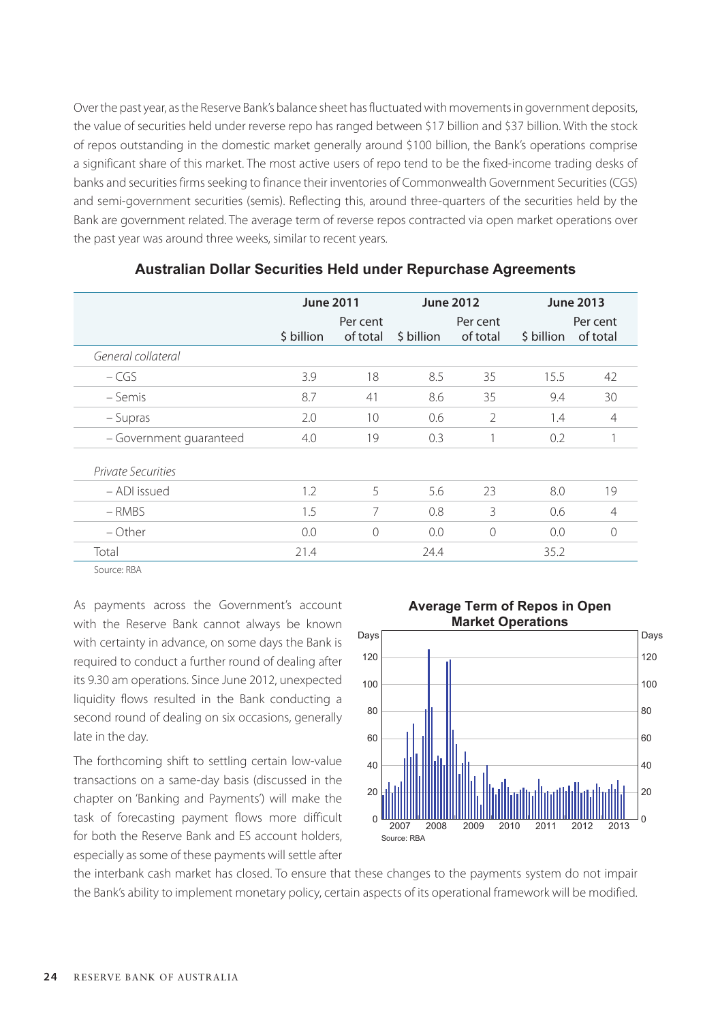Over the past year, as the Reserve Bank's balance sheet has fluctuated with movements in government deposits, the value of securities held under reverse repo has ranged between \$17 billion and \$37 billion. With the stock of repos outstanding in the domestic market generally around \$100 billion, the Bank's operations comprise a significant share of this market. The most active users of repo tend to be the fixed-income trading desks of banks and securities firms seeking to finance their inventories of Commonwealth Government Securities (CGS) and semi-government securities (semis). Reflecting this, around three-quarters of the securities held by the Bank are government related. The average term of reverse repos contracted via open market operations over the past year was around three weeks, similar to recent years.

|                           | <b>June 2011</b> |                      | <b>June 2012</b> |                      | <b>June 2013</b> |                      |
|---------------------------|------------------|----------------------|------------------|----------------------|------------------|----------------------|
|                           | \$ billion       | Per cent<br>of total | \$ billion       | Per cent<br>of total | \$ billion       | Per cent<br>of total |
| General collateral        |                  |                      |                  |                      |                  |                      |
| $-CGS$                    | 3.9              | 18                   | 8.5              | 35                   | 15.5             | 42                   |
| – Semis                   | 8.7              | 41                   | 8.6              | 35                   | 9.4              | 30                   |
| – Supras                  | 2.0              | 10                   | 0.6              | $\mathfrak{D}$       | 1.4              | $\overline{4}$       |
| - Government quaranteed   | 4.0              | 19                   | 0.3              | 1                    | 0.2              |                      |
| <b>Private Securities</b> |                  |                      |                  |                      |                  |                      |
| - ADI issued              | 1.2              | 5                    | 5.6              | 23                   | 8.0              | 19                   |
| $-$ RMBS                  | 1.5              | 7                    | 0.8              | 3                    | 0.6              | $\overline{4}$       |
| – Other                   | 0.0              | $\Omega$             | 0.0              | $\Omega$             | 0.0              | $\Omega$             |
| Total                     | 21.4             |                      | 24.4             |                      | 35.2             |                      |

#### **Australian Dollar Securities Held under Repurchase Agreements**

Source: RBA

As payments across the Government's account with the Reserve Bank cannot always be known with certainty in advance, on some days the Bank is required to conduct a further round of dealing after its 9.30 am operations. Since June 2012, unexpected liquidity flows resulted in the Bank conducting a second round of dealing on six occasions, generally late in the day.

The forthcoming shift to settling certain low-value transactions on a same-day basis (discussed in the chapter on 'Banking and Payments') will make the task of forecasting payment flows more difficult for both the Reserve Bank and ES account holders, especially as some of these payments will settle after



the interbank cash market has closed. To ensure that these changes to the payments system do not impair the Bank's ability to implement monetary policy, certain aspects of its operational framework will be modified.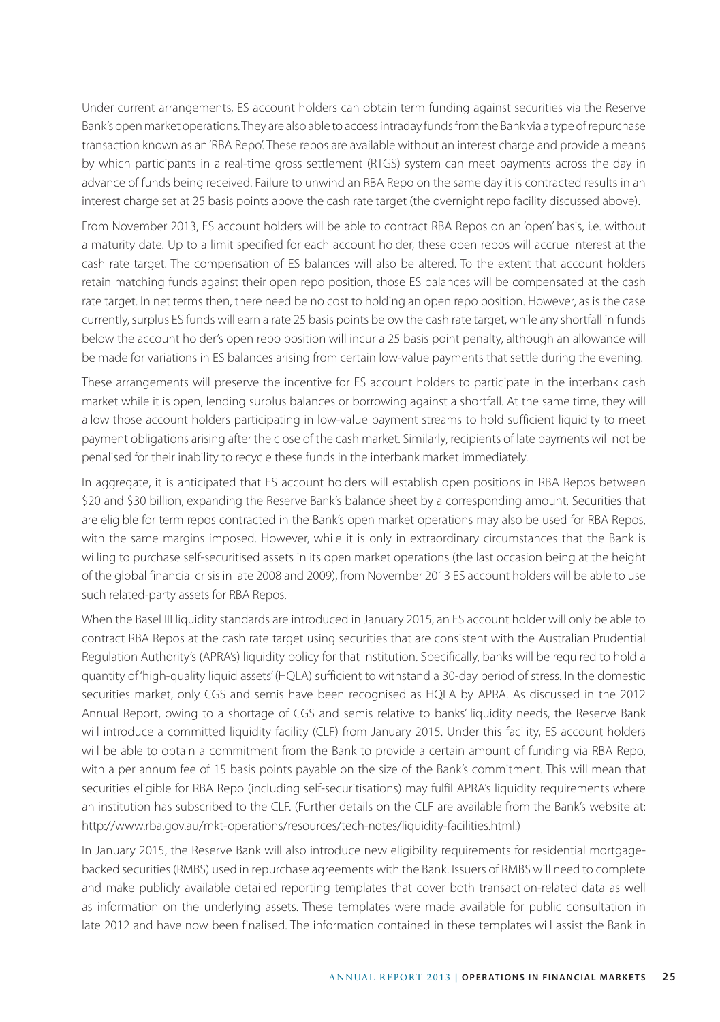Under current arrangements, ES account holders can obtain term funding against securities via the Reserve Bank's open market operations. They are also able to access intraday funds from the Bank via a type of repurchase transaction known as an 'RBA Repo'. These repos are available without an interest charge and provide a means by which participants in a real-time gross settlement (RTGS) system can meet payments across the day in advance of funds being received. Failure to unwind an RBA Repo on the same day it is contracted results in an interest charge set at 25 basis points above the cash rate target (the overnight repo facility discussed above).

From November 2013, ES account holders will be able to contract RBA Repos on an 'open' basis, i.e. without a maturity date. Up to a limit specified for each account holder, these open repos will accrue interest at the cash rate target. The compensation of ES balances will also be altered. To the extent that account holders retain matching funds against their open repo position, those ES balances will be compensated at the cash rate target. In net terms then, there need be no cost to holding an open repo position. However, as is the case currently, surplus ES funds will earn a rate 25 basis points below the cash rate target, while any shortfall in funds below the account holder's open repo position will incur a 25 basis point penalty, although an allowance will be made for variations in ES balances arising from certain low-value payments that settle during the evening.

These arrangements will preserve the incentive for ES account holders to participate in the interbank cash market while it is open, lending surplus balances or borrowing against a shortfall. At the same time, they will allow those account holders participating in low-value payment streams to hold sufficient liquidity to meet payment obligations arising after the close of the cash market. Similarly, recipients of late payments will not be penalised for their inability to recycle these funds in the interbank market immediately.

In aggregate, it is anticipated that ES account holders will establish open positions in RBA Repos between \$20 and \$30 billion, expanding the Reserve Bank's balance sheet by a corresponding amount. Securities that are eligible for term repos contracted in the Bank's open market operations may also be used for RBA Repos, with the same margins imposed. However, while it is only in extraordinary circumstances that the Bank is willing to purchase self-securitised assets in its open market operations (the last occasion being at the height of the global financial crisis in late 2008 and 2009), from November 2013 ES account holders will be able to use such related-party assets for RBA Repos.

When the Basel III liquidity standards are introduced in January 2015, an ES account holder will only be able to contract RBA Repos at the cash rate target using securities that are consistent with the Australian Prudential Regulation Authority's (APRA's) liquidity policy for that institution. Specifically, banks will be required to hold a quantity of 'high-quality liquid assets' (HQLA) sufficient to withstand a 30-day period of stress. In the domestic securities market, only CGS and semis have been recognised as HQLA by APRA. As discussed in the 2012 Annual Report, owing to a shortage of CGS and semis relative to banks' liquidity needs, the Reserve Bank will introduce a committed liquidity facility (CLF) from January 2015. Under this facility, ES account holders will be able to obtain a commitment from the Bank to provide a certain amount of funding via RBA Repo, with a per annum fee of 15 basis points payable on the size of the Bank's commitment. This will mean that securities eligible for RBA Repo (including self-securitisations) may fulfil APRA's liquidity requirements where an institution has subscribed to the CLF. (Further details on the CLF are available from the Bank's website at: http://www.rba.gov.au/mkt-operations/resources/tech-notes/liquidity-facilities.html.)

In January 2015, the Reserve Bank will also introduce new eligibility requirements for residential mortgagebacked securities (RMBS) used in repurchase agreements with the Bank. Issuers of RMBS will need to complete and make publicly available detailed reporting templates that cover both transaction-related data as well as information on the underlying assets. These templates were made available for public consultation in late 2012 and have now been finalised. The information contained in these templates will assist the Bank in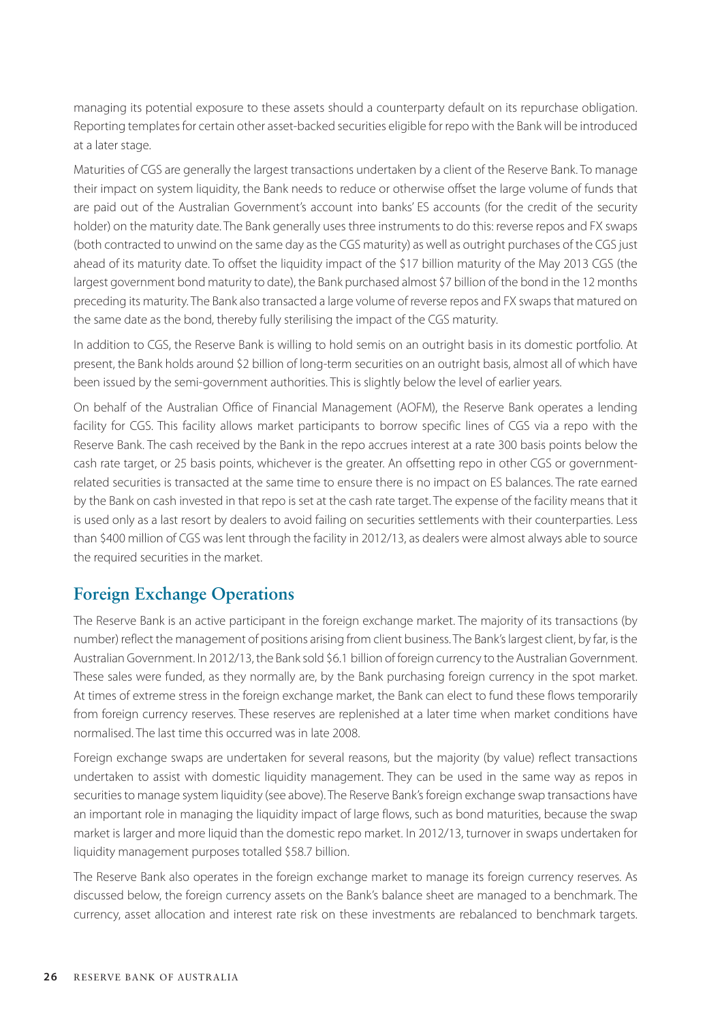managing its potential exposure to these assets should a counterparty default on its repurchase obligation. Reporting templates for certain other asset-backed securities eligible for repo with the Bank will be introduced at a later stage.

Maturities of CGS are generally the largest transactions undertaken by a client of the Reserve Bank. To manage their impact on system liquidity, the Bank needs to reduce or otherwise offset the large volume of funds that are paid out of the Australian Government's account into banks' ES accounts (for the credit of the security holder) on the maturity date. The Bank generally uses three instruments to do this: reverse repos and FX swaps (both contracted to unwind on the same day as the CGS maturity) as well as outright purchases of the CGS just ahead of its maturity date. To offset the liquidity impact of the \$17 billion maturity of the May 2013 CGS (the largest government bond maturity to date), the Bank purchased almost \$7 billion of the bond in the 12 months preceding its maturity. The Bank also transacted a large volume of reverse repos and FX swaps that matured on the same date as the bond, thereby fully sterilising the impact of the CGS maturity.

In addition to CGS, the Reserve Bank is willing to hold semis on an outright basis in its domestic portfolio. At present, the Bank holds around \$2 billion of long-term securities on an outright basis, almost all of which have been issued by the semi-government authorities. This is slightly below the level of earlier years.

On behalf of the Australian Office of Financial Management (AOFM), the Reserve Bank operates a lending facility for CGS. This facility allows market participants to borrow specific lines of CGS via a repo with the Reserve Bank. The cash received by the Bank in the repo accrues interest at a rate 300 basis points below the cash rate target, or 25 basis points, whichever is the greater. An offsetting repo in other CGS or governmentrelated securities is transacted at the same time to ensure there is no impact on ES balances. The rate earned by the Bank on cash invested in that repo is set at the cash rate target. The expense of the facility means that it is used only as a last resort by dealers to avoid failing on securities settlements with their counterparties. Less than \$400 million of CGS was lent through the facility in 2012/13, as dealers were almost always able to source the required securities in the market.

## **Foreign Exchange Operations**

The Reserve Bank is an active participant in the foreign exchange market. The majority of its transactions (by number) reflect the management of positions arising from client business. The Bank's largest client, by far, is the Australian Government. In 2012/13, the Bank sold \$6.1 billion of foreign currency to the Australian Government. These sales were funded, as they normally are, by the Bank purchasing foreign currency in the spot market. At times of extreme stress in the foreign exchange market, the Bank can elect to fund these flows temporarily from foreign currency reserves. These reserves are replenished at a later time when market conditions have normalised. The last time this occurred was in late 2008.

Foreign exchange swaps are undertaken for several reasons, but the majority (by value) reflect transactions undertaken to assist with domestic liquidity management. They can be used in the same way as repos in securities to manage system liquidity (see above). The Reserve Bank's foreign exchange swap transactions have an important role in managing the liquidity impact of large flows, such as bond maturities, because the swap market is larger and more liquid than the domestic repo market. In 2012/13, turnover in swaps undertaken for liquidity management purposes totalled \$58.7 billion.

The Reserve Bank also operates in the foreign exchange market to manage its foreign currency reserves. As discussed below, the foreign currency assets on the Bank's balance sheet are managed to a benchmark. The currency, asset allocation and interest rate risk on these investments are rebalanced to benchmark targets.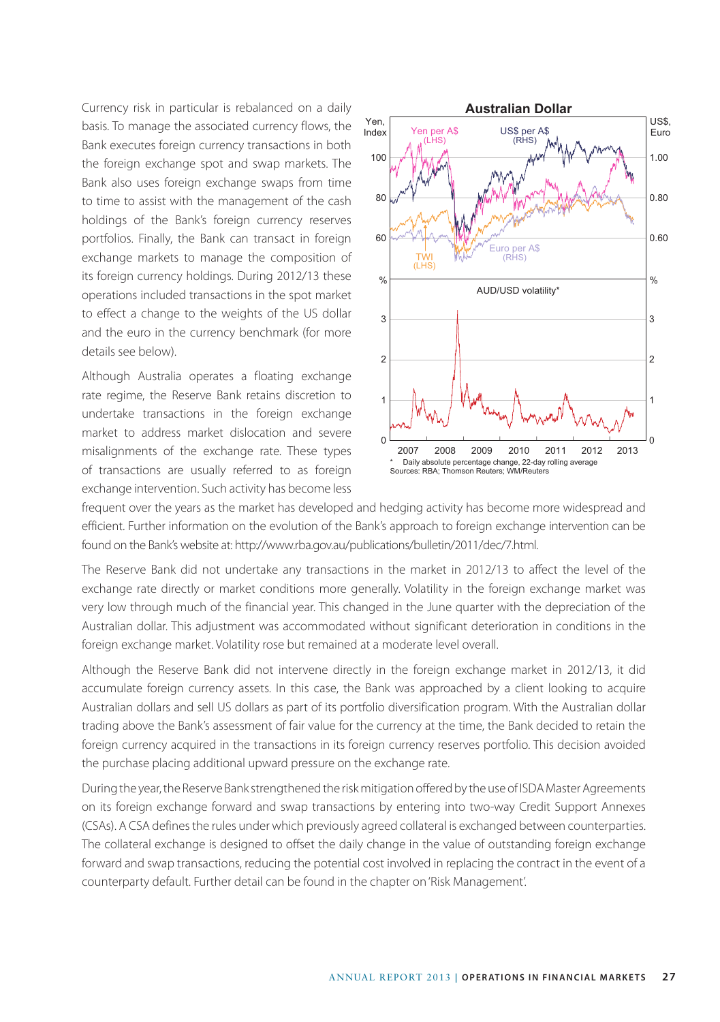Currency risk in particular is rebalanced on a daily basis. To manage the associated currency flows, the Bank executes foreign currency transactions in both the foreign exchange spot and swap markets. The Bank also uses foreign exchange swaps from time to time to assist with the management of the cash holdings of the Bank's foreign currency reserves portfolios. Finally, the Bank can transact in foreign exchange markets to manage the composition of its foreign currency holdings. During 2012/13 these operations included transactions in the spot market to effect a change to the weights of the US dollar and the euro in the currency benchmark (for more details see below).

Although Australia operates a floating exchange rate regime, the Reserve Bank retains discretion to undertake transactions in the foreign exchange market to address market dislocation and severe misalignments of the exchange rate. These types of transactions are usually referred to as foreign exchange intervention. Such activity has become less



frequent over the years as the market has developed and hedging activity has become more widespread and efficient. Further information on the evolution of the Bank's approach to foreign exchange intervention can be found on the Bank's website at: http://www.rba.gov.au/publications/bulletin/2011/dec/7.html.

The Reserve Bank did not undertake any transactions in the market in 2012/13 to affect the level of the exchange rate directly or market conditions more generally. Volatility in the foreign exchange market was very low through much of the financial year. This changed in the June quarter with the depreciation of the Australian dollar. This adjustment was accommodated without significant deterioration in conditions in the foreign exchange market. Volatility rose but remained at a moderate level overall.

Although the Reserve Bank did not intervene directly in the foreign exchange market in 2012/13, it did accumulate foreign currency assets. In this case, the Bank was approached by a client looking to acquire Australian dollars and sell US dollars as part of its portfolio diversification program. With the Australian dollar trading above the Bank's assessment of fair value for the currency at the time, the Bank decided to retain the foreign currency acquired in the transactions in its foreign currency reserves portfolio. This decision avoided the purchase placing additional upward pressure on the exchange rate.

During the year, the Reserve Bank strengthened the risk mitigation offered by the use of ISDA Master Agreements on its foreign exchange forward and swap transactions by entering into two-way Credit Support Annexes (CSAs). A CSA defines the rules under which previously agreed collateral is exchanged between counterparties. The collateral exchange is designed to offset the daily change in the value of outstanding foreign exchange forward and swap transactions, reducing the potential cost involved in replacing the contract in the event of a counterparty default. Further detail can be found in the chapter on 'Risk Management'.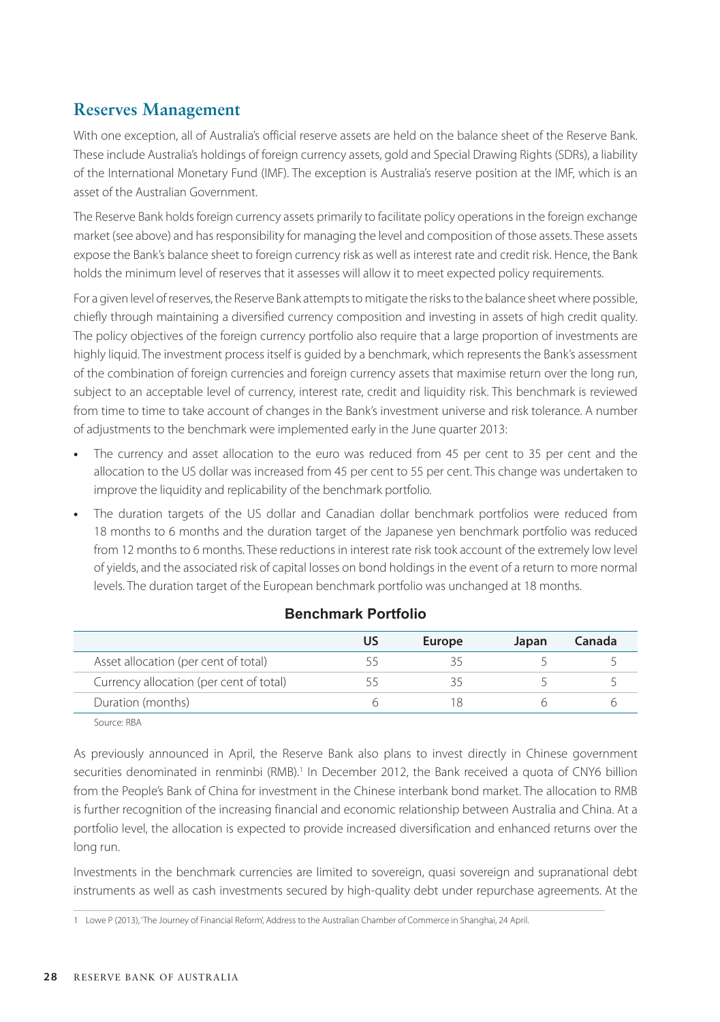## **Reserves Management**

With one exception, all of Australia's official reserve assets are held on the balance sheet of the Reserve Bank. These include Australia's holdings of foreign currency assets, gold and Special Drawing Rights (SDRs), a liability of the International Monetary Fund (IMF). The exception is Australia's reserve position at the IMF, which is an asset of the Australian Government.

The Reserve Bank holds foreign currency assets primarily to facilitate policy operations in the foreign exchange market (see above) and has responsibility for managing the level and composition of those assets. These assets expose the Bank's balance sheet to foreign currency risk as well as interest rate and credit risk. Hence, the Bank holds the minimum level of reserves that it assesses will allow it to meet expected policy requirements.

For a given level of reserves, the Reserve Bank attempts to mitigate the risks to the balance sheet where possible, chiefly through maintaining a diversified currency composition and investing in assets of high credit quality. The policy objectives of the foreign currency portfolio also require that a large proportion of investments are highly liquid. The investment process itself is guided by a benchmark, which represents the Bank's assessment of the combination of foreign currencies and foreign currency assets that maximise return over the long run, subject to an acceptable level of currency, interest rate, credit and liquidity risk. This benchmark is reviewed from time to time to take account of changes in the Bank's investment universe and risk tolerance. A number of adjustments to the benchmark were implemented early in the June quarter 2013:

- The currency and asset allocation to the euro was reduced from 45 per cent to 35 per cent and the allocation to the US dollar was increased from 45 per cent to 55 per cent. This change was undertaken to improve the liquidity and replicability of the benchmark portfolio.
- **•** The duration targets of the US dollar and Canadian dollar benchmark portfolios were reduced from 18 months to 6 months and the duration target of the Japanese yen benchmark portfolio was reduced from 12 months to 6 months. These reductions in interest rate risk took account of the extremely low level of yields, and the associated risk of capital losses on bond holdings in the event of a return to more normal levels. The duration target of the European benchmark portfolio was unchanged at 18 months.

|                                         | Europe | Japan | Canada |
|-----------------------------------------|--------|-------|--------|
| Asset allocation (per cent of total)    |        |       |        |
| Currency allocation (per cent of total) |        |       |        |
| Duration (months)                       |        |       |        |

#### **Benchmark Portfolio**

Source: RBA

As previously announced in April, the Reserve Bank also plans to invest directly in Chinese government securities denominated in renminbi (RMB).<sup>1</sup> In December 2012, the Bank received a quota of CNY6 billion from the People's Bank of China for investment in the Chinese interbank bond market. The allocation to RMB is further recognition of the increasing financial and economic relationship between Australia and China. At a portfolio level, the allocation is expected to provide increased diversification and enhanced returns over the long run.

Investments in the benchmark currencies are limited to sovereign, quasi sovereign and supranational debt instruments as well as cash investments secured by high-quality debt under repurchase agreements. At the

<sup>1</sup> Lowe P (2013), 'The Journey of Financial Reform', Address to the Australian Chamber of Commerce in Shanghai, 24 April.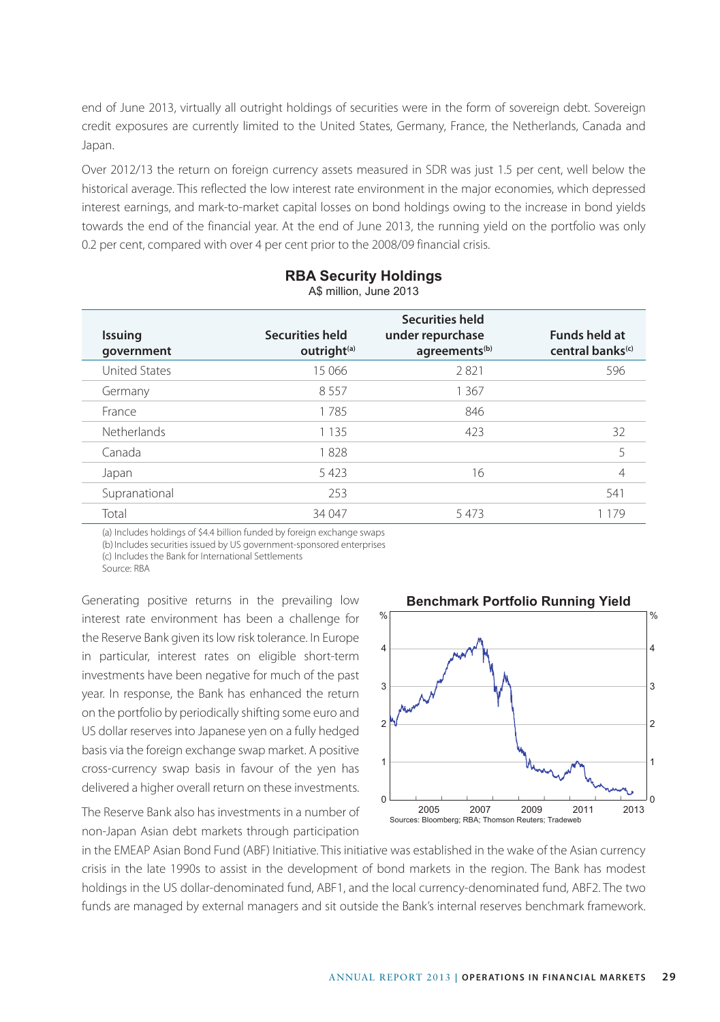end of June 2013, virtually all outright holdings of securities were in the form of sovereign debt. Sovereign credit exposures are currently limited to the United States, Germany, France, the Netherlands, Canada and Japan.

Over 2012/13 the return on foreign currency assets measured in SDR was just 1.5 per cent, well below the historical average. This reflected the low interest rate environment in the major economies, which depressed interest earnings, and mark-to-market capital losses on bond holdings owing to the increase in bond yields towards the end of the financial year. At the end of June 2013, the running yield on the portfolio was only 0.2 per cent, compared with over 4 per cent prior to the 2008/09 financial crisis.

| <b>Issuing</b><br>qovernment | <b>Securities held</b><br>outright <sup>(a)</sup> | <b>Securities held</b><br>under repurchase<br>agreements <sup>(b)</sup> | <b>Funds held at</b><br>central banks <sup>(c)</sup> |
|------------------------------|---------------------------------------------------|-------------------------------------------------------------------------|------------------------------------------------------|
| <b>United States</b>         | 15 066                                            | 2821                                                                    | 596                                                  |
| Germany                      | 8557                                              | 1 367                                                                   |                                                      |
| France                       | 1785                                              | 846                                                                     |                                                      |
| <b>Netherlands</b>           | 1 1 3 5                                           | 423                                                                     | 32                                                   |
| Canada                       | 1828                                              |                                                                         | 5                                                    |
| Japan                        | 5423                                              | 16                                                                      | 4                                                    |
| Supranational                | 253                                               |                                                                         | 541                                                  |
| Total                        | 34 047                                            | 5473                                                                    | 1 1 7 9                                              |

#### **RBA Security Holdings** A\$ million, June 2013

(a) Includes holdings of \$4.4 billion funded by foreign exchange swaps (b) Includes securities issued by US government-sponsored enterprises

(c) Includes the Bank for International Settlements

Source: RBA

Generating positive returns in the prevailing low interest rate environment has been a challenge for the Reserve Bank given its low risk tolerance. In Europe in particular, interest rates on eligible short-term investments have been negative for much of the past year. In response, the Bank has enhanced the return on the portfolio by periodically shifting some euro and US dollar reserves into Japanese yen on a fully hedged basis via the foreign exchange swap market. A positive cross-currency swap basis in favour of the yen has delivered a higher overall return on these investments.

The Reserve Bank also has investments in a number of non-Japan Asian debt markets through participation



in the EMEAP Asian Bond Fund (ABF) Initiative. This initiative was established in the wake of the Asian currency crisis in the late 1990s to assist in the development of bond markets in the region. The Bank has modest holdings in the US dollar-denominated fund, ABF1, and the local currency-denominated fund, ABF2. The two funds are managed by external managers and sit outside the Bank's internal reserves benchmark framework.